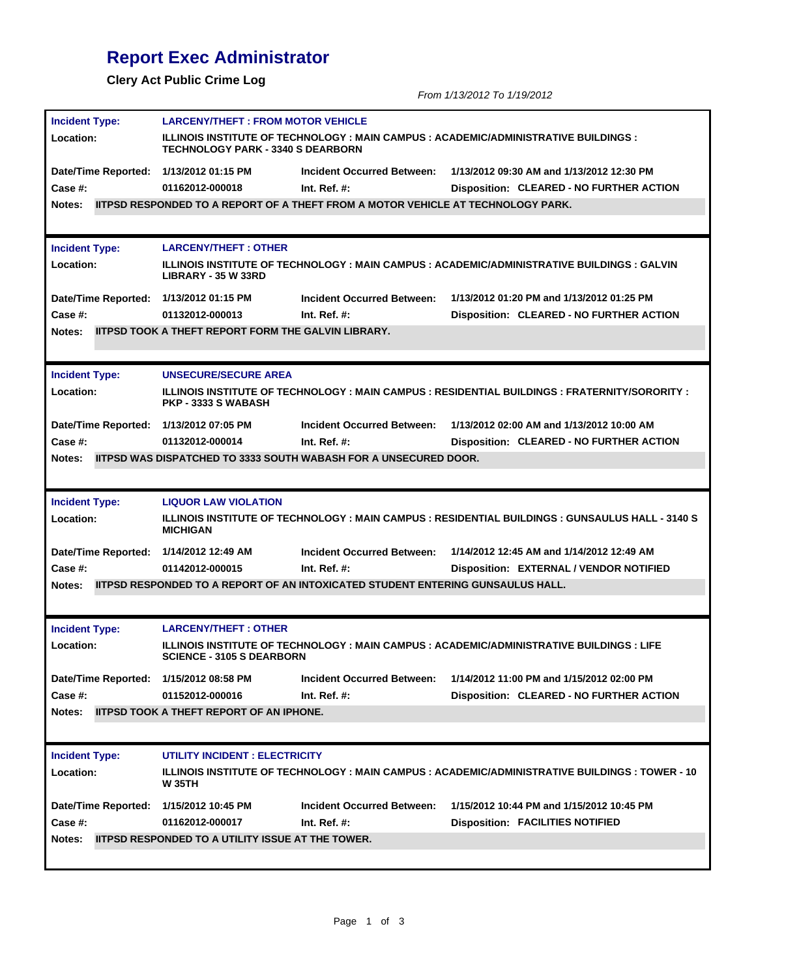## **Report Exec Administrator**

**Clery Act Public Crime Log** *From 1/13/2012 To 1/19/2012* **Incident Type: Location: Date/Time Reported: 1/13/2012 01:15 PM LARCENY/THEFT : FROM MOTOR VEHICLE ILLINOIS INSTITUTE OF TECHNOLOGY : MAIN CAMPUS : ACADEMIC/ADMINISTRATIVE BUILDINGS : TECHNOLOGY PARK - 3340 S DEARBORN Disposition: CLEARED - NO FURTHER ACTION Incident Occurred Between: 1/13/2012 09:30 AM and 1/13/2012 12:30 PM Case #: 01162012-000018 Notes: IITPSD RESPONDED TO A REPORT OF A THEFT FROM A MOTOR VEHICLE AT TECHNOLOGY PARK. Int. Ref. #: Incident Type: Location: Date/Time Reported: 1/13/2012 01:15 PM LARCENY/THEFT : OTHER ILLINOIS INSTITUTE OF TECHNOLOGY : MAIN CAMPUS : ACADEMIC/ADMINISTRATIVE BUILDINGS : GALVIN LIBRARY - 35 W 33RD Disposition: CLEARED - NO FURTHER ACTION Incident Occurred Between: 1/13/2012 01:20 PM and 1/13/2012 01:25 PM Case #: 01132012-000013 Notes: IITPSD TOOK A THEFT REPORT FORM THE GALVIN LIBRARY. Int. Ref. #: Incident Type: Location: Date/Time Reported: 1/13/2012 07:05 PM UNSECURE/SECURE AREA ILLINOIS INSTITUTE OF TECHNOLOGY : MAIN CAMPUS : RESIDENTIAL BUILDINGS : FRATERNITY/SORORITY : PKP - 3333 S WABASH Disposition: CLEARED - NO FURTHER ACTION Incident Occurred Between: 1/13/2012 02:00 AM and 1/13/2012 10:00 AM Case #: 01132012-000014 Notes: IITPSD WAS DISPATCHED TO 3333 SOUTH WABASH FOR A UNSECURED DOOR. Int. Ref. #: Incident Type: Location: Date/Time Reported: 1/14/2012 12:49 AM LIQUOR LAW VIOLATION ILLINOIS INSTITUTE OF TECHNOLOGY : MAIN CAMPUS : RESIDENTIAL BUILDINGS : GUNSAULUS HALL - 3140 S MICHIGAN Disposition: EXTERNAL / VENDOR NOTIFIED Incident Occurred Between: 1/14/2012 12:45 AM and 1/14/2012 12:49 AM Case #: 01142012-000015 Notes: IITPSD RESPONDED TO A REPORT OF AN INTOXICATED STUDENT ENTERING GUNSAULUS HALL. Int. Ref. #: Incident Type: Location: Date/Time Reported: LARCENY/THEFT : OTHER ILLINOIS INSTITUTE OF TECHNOLOGY : MAIN CAMPUS : ACADEMIC/ADMINISTRATIVE BUILDINGS : LIFE SCIENCE - 3105 S DEARBORN 1/15/2012 08:58 PM Disposition: CLEARED - NO FURTHER ACTION Incident Occurred Between: 1/14/2012 11:00 PM and 1/15/2012 02:00 PM Case #: 01152012-000016 Notes: IITPSD TOOK A THEFT REPORT OF AN IPHONE. Int. Ref. #: Incident Type: Location: UTILITY INCIDENT : ELECTRICITY ILLINOIS INSTITUTE OF TECHNOLOGY : MAIN CAMPUS : ACADEMIC/ADMINISTRATIVE BUILDINGS : TOWER - 10** 

**Date/Time Reported: W 35TH 1/15/2012 10:45 PM Disposition: FACILITIES NOTIFIED Incident Occurred Between: 1/15/2012 10:44 PM and 1/15/2012 10:45 PM Case #: 01162012-000017 Notes: IITPSD RESPONDED TO A UTILITY ISSUE AT THE TOWER. Int. Ref. #:**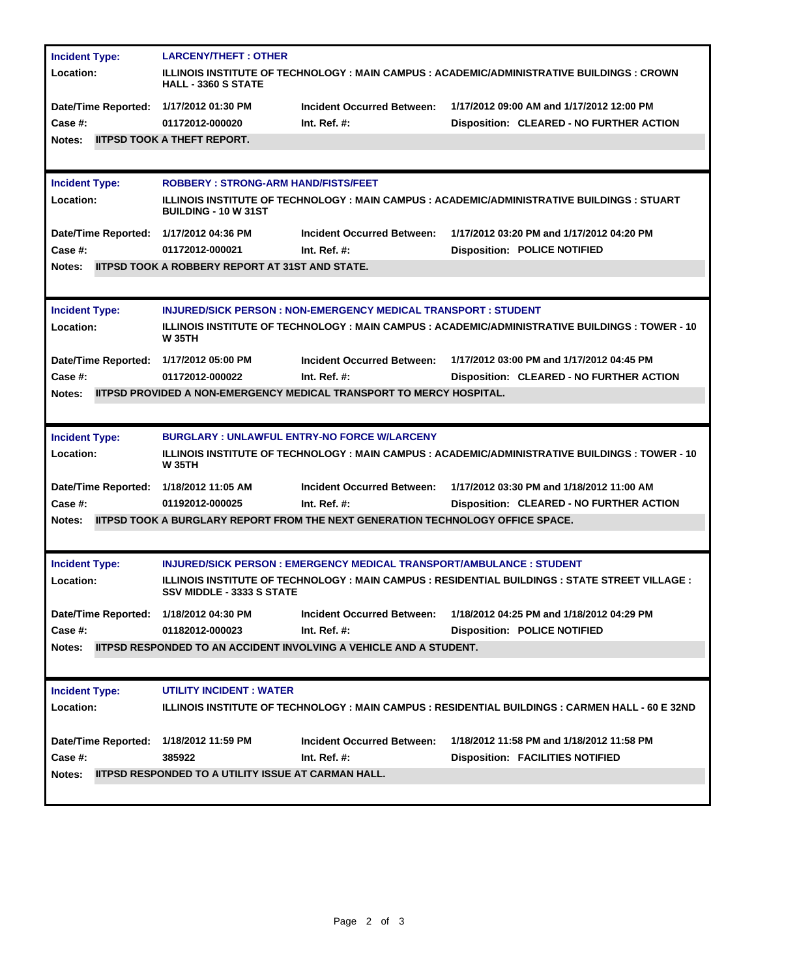| <b>Incident Type:</b>                  | <b>LARCENY/THEFT: OTHER</b>                                                                                                |                                                                                 |                                                                                                        |  |  |
|----------------------------------------|----------------------------------------------------------------------------------------------------------------------------|---------------------------------------------------------------------------------|--------------------------------------------------------------------------------------------------------|--|--|
| Location:                              | ILLINOIS INSTITUTE OF TECHNOLOGY : MAIN CAMPUS : ACADEMIC/ADMINISTRATIVE BUILDINGS : CROWN<br><b>HALL - 3360 S STATE</b>   |                                                                                 |                                                                                                        |  |  |
| Date/Time Reported: 1/17/2012 01:30 PM |                                                                                                                            | <b>Incident Occurred Between:</b>                                               | 1/17/2012 09:00 AM and 1/17/2012 12:00 PM                                                              |  |  |
| Case #:                                | 01172012-000020                                                                                                            | Int. Ref. $#$ :                                                                 | Disposition: CLEARED - NO FURTHER ACTION                                                               |  |  |
| Notes:                                 | <b>IITPSD TOOK A THEFT REPORT.</b>                                                                                         |                                                                                 |                                                                                                        |  |  |
|                                        |                                                                                                                            |                                                                                 |                                                                                                        |  |  |
| <b>Incident Type:</b>                  | <b>ROBBERY: STRONG-ARM HAND/FISTS/FEET</b>                                                                                 |                                                                                 |                                                                                                        |  |  |
| Location:                              | ILLINOIS INSTITUTE OF TECHNOLOGY : MAIN CAMPUS : ACADEMIC/ADMINISTRATIVE BUILDINGS : STUART<br><b>BUILDING - 10 W 31ST</b> |                                                                                 |                                                                                                        |  |  |
| Date/Time Reported: 1/17/2012 04:36 PM |                                                                                                                            | <b>Incident Occurred Between:</b>                                               | 1/17/2012 03:20 PM and 1/17/2012 04:20 PM                                                              |  |  |
| Case #:                                | 01172012-000021                                                                                                            | Int. Ref. $#$ :                                                                 | <b>Disposition: POLICE NOTIFIED</b>                                                                    |  |  |
| Notes:                                 | <b>IITPSD TOOK A ROBBERY REPORT AT 31ST AND STATE.</b>                                                                     |                                                                                 |                                                                                                        |  |  |
|                                        |                                                                                                                            |                                                                                 |                                                                                                        |  |  |
| <b>Incident Type:</b>                  | <b>INJURED/SICK PERSON : NON-EMERGENCY MEDICAL TRANSPORT : STUDENT</b>                                                     |                                                                                 |                                                                                                        |  |  |
| Location:                              | ILLINOIS INSTITUTE OF TECHNOLOGY : MAIN CAMPUS : ACADEMIC/ADMINISTRATIVE BUILDINGS : TOWER - 10<br><b>W35TH</b>            |                                                                                 |                                                                                                        |  |  |
| Date/Time Reported: 1/17/2012 05:00 PM |                                                                                                                            | <b>Incident Occurred Between:</b>                                               | 1/17/2012 03:00 PM and 1/17/2012 04:45 PM                                                              |  |  |
| Case #:                                | 01172012-000022                                                                                                            | Int. Ref. $#$ :                                                                 | Disposition: CLEARED - NO FURTHER ACTION                                                               |  |  |
| Notes:                                 |                                                                                                                            | <b>IITPSD PROVIDED A NON-EMERGENCY MEDICAL TRANSPORT TO MERCY HOSPITAL.</b>     |                                                                                                        |  |  |
|                                        |                                                                                                                            |                                                                                 |                                                                                                        |  |  |
| <b>Incident Type:</b>                  |                                                                                                                            | <b>BURGLARY: UNLAWFUL ENTRY-NO FORCE W/LARCENY</b>                              |                                                                                                        |  |  |
|                                        |                                                                                                                            |                                                                                 |                                                                                                        |  |  |
| Location:                              | <b>W35TH</b>                                                                                                               |                                                                                 | ILLINOIS INSTITUTE OF TECHNOLOGY : MAIN CAMPUS : ACADEMIC/ADMINISTRATIVE BUILDINGS : TOWER - 10        |  |  |
| Date/Time Reported: 1/18/2012 11:05 AM |                                                                                                                            | <b>Incident Occurred Between:</b>                                               | 1/17/2012 03:30 PM and 1/18/2012 11:00 AM                                                              |  |  |
| Case #:                                | 01192012-000025                                                                                                            | Int. Ref. $#$ :                                                                 | Disposition: CLEARED - NO FURTHER ACTION                                                               |  |  |
| Notes:                                 |                                                                                                                            | IITPSD TOOK A BURGLARY REPORT FROM THE NEXT GENERATION TECHNOLOGY OFFICE SPACE. |                                                                                                        |  |  |
|                                        |                                                                                                                            |                                                                                 |                                                                                                        |  |  |
| <b>Incident Type:</b>                  |                                                                                                                            | <b>INJURED/SICK PERSON: EMERGENCY MEDICAL TRANSPORT/AMBULANCE: STUDENT</b>      |                                                                                                        |  |  |
| Location:                              | <b>SSV MIDDLE - 3333 S STATE</b>                                                                                           |                                                                                 | <b>ILLINOIS INSTITUTE OF TECHNOLOGY : MAIN CAMPUS : RESIDENTIAL BUILDINGS : STATE STREET VILLAGE :</b> |  |  |
| Date/Time Reported: 1/18/2012 04:30 PM |                                                                                                                            | <b>Incident Occurred Between:</b>                                               | 1/18/2012 04:25 PM and 1/18/2012 04:29 PM                                                              |  |  |
| Case #:                                | 01182012-000023                                                                                                            | Int. Ref. $#$ :                                                                 | <b>Disposition: POLICE NOTIFIED</b>                                                                    |  |  |
| Notes:                                 |                                                                                                                            | <b>IITPSD RESPONDED TO AN ACCIDENT INVOLVING A VEHICLE AND A STUDENT.</b>       |                                                                                                        |  |  |
|                                        |                                                                                                                            |                                                                                 |                                                                                                        |  |  |
| <b>Incident Type:</b>                  | <b>UTILITY INCIDENT: WATER</b>                                                                                             |                                                                                 |                                                                                                        |  |  |
| Location:                              |                                                                                                                            |                                                                                 | ILLINOIS INSTITUTE OF TECHNOLOGY : MAIN CAMPUS : RESIDENTIAL BUILDINGS : CARMEN HALL - 60 E 32ND       |  |  |
|                                        |                                                                                                                            |                                                                                 |                                                                                                        |  |  |
| Date/Time Reported: 1/18/2012 11:59 PM |                                                                                                                            | <b>Incident Occurred Between:</b>                                               | 1/18/2012 11:58 PM and 1/18/2012 11:58 PM                                                              |  |  |
| Case #:                                | 385922                                                                                                                     | Int. Ref. $#$ :                                                                 | <b>Disposition: FACILITIES NOTIFIED</b>                                                                |  |  |
| Notes:                                 | <b>IITPSD RESPONDED TO A UTILITY ISSUE AT CARMAN HALL.</b>                                                                 |                                                                                 |                                                                                                        |  |  |